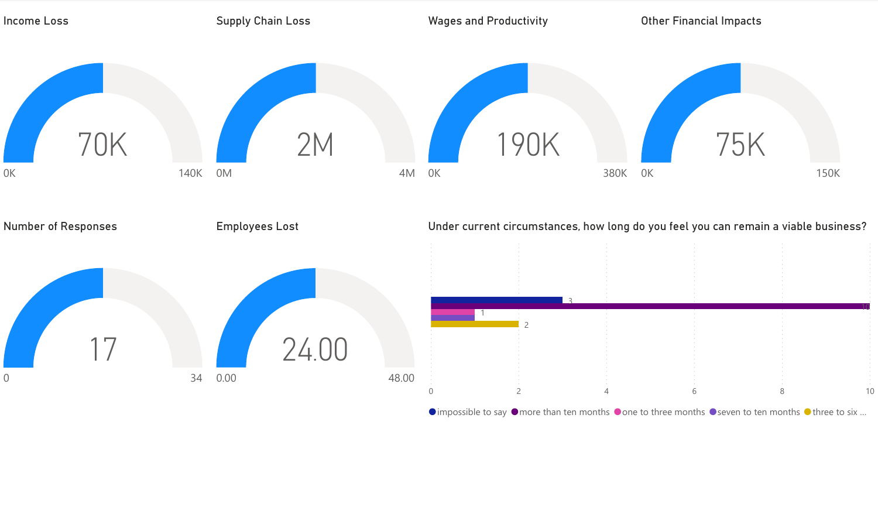

 $\bullet$  impossible to say  $\bullet$  more than ten months  $\bullet$  one to three months  $\bullet$  seven to ten months  $\bullet$  three to six ...